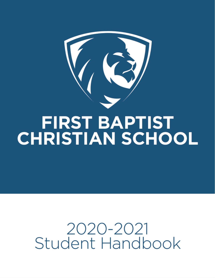

# **FIRST BAPTIST CHRISTIAN SCHOOL**

# 2020-2021 Student Handbook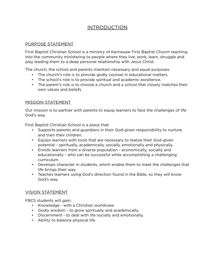# INTRODUCTION

#### PURPOSE STATEMENT

First Baptist Christian School is a ministry of Kennesaw First Baptist Church reaching into the community ministering to people where they live, work, learn, struggle and play leading them to a deep personal relationship with Jesus Christ.

The church, the school and parents maintain necessary and equal purposes:

- The church's role is to provide godly counsel in educational matters.
- The school's role is to provide spiritual and academic excellence.
- The parent's role is to choose a church and a school that closely matches their own values and beliefs.

#### MISSION STATEMENT

Our mission is to partner with parents to equip learners to face the challenges of life God's way.

First Baptist Christian School is a place that:

- Supports parents and guardians in their God-given responsibility to nurture and train their children.
- Equips learners with tools that are necessary to realize their God-given potential - spiritually, academically, socially, emotionally and physically.
- Enrolls learners from a diverse population economically, socially and educationally - who can be successful while accomplishing a challenging curriculum.
- Develops character in students, which enable them to meet the challenges that life brings their way.
- Teaches learners using God's direction found in the Bible, so they will know God's way.

#### VISION STATEMENT

FBCS students will gain:

- Knowledge with a Christian worldview.
- Godly wisdom to grow spiritually and academically.
- Discernment to deal with life socially and emotionally.
- Ability to balance physical life.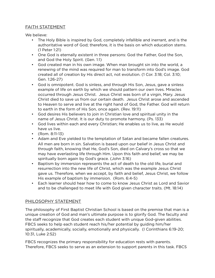## FAITH STATEMENT

We believe:

- The Holy Bible is inspired by God, completely infallible and inerrant, and is the authoritative word of God; therefore, it is the basis on which education stems. (1 Peter 1:21)
- One God is eternally existent in three persons: God the Father, God the Son, and God the Holy Spirit. (Gen. 1:1)
- God created man in his own image. When man brought sin into the world, a renewing of the mind was required for man to transform into God's image. God created all of creation by His direct act, not evolution. (1 Cor. 3:18; Col. 3:10; Gen. 1:26-27)
- God is omnipotent. God is sinless, and through His Son, Jesus, gave a sinless example of life on earth by which we should pattern our own lives. Miracles occurred through Jesus Christ. Jesus Christ was born of a virgin, Mary. Jesus Christ died to save us from our certain death. Jesus Christ arose and ascended to Heaven to serve and live at the right hand of God, the Father. God will return to earth in the form of His Son, once again. (Rev. 19:11)
- God desires His believers to join in Christian love and spiritual unity in the name of Jesus Christ. It is our duty to promote harmony. (Ps. 133)
- God lives within each and every Christian; He enables us to live, as He would have us live.
- (Rom. 8:11-13)
- Adam and Eve yielded to the temptation of Satan and became fallen creatures. All men are born in sin. Salvation is based upon our belief in Jesus Christ and through faith, knowing that He, God's Son, died on Calvary's cross so that we may have everlasting life through Him. Upon this faith and belief, we may be spiritually born again by God's grace. (John 3:16)
- Baptism by immersion represents the act of death to the old life, burial and resurrection into the new life of Christ, which was the example Jesus Christ gave us. Therefore, when we accept, by faith and belief, Jesus Christ, we follow His example of baptism by immersion. (Rom. 6:4-5)
- Each learner should hear how to come to know Jesus Christ as Lord and Savior and to be challenged to meet life with God given character traits. (Mt. 18:14)

# PHILOSOPHY STATEMENT

The philosophy of First Baptist Christian School is based on the premise that man is a unique creation of God and man's ultimate purpose is to glorify God. The faculty and the staff recognize that God creates each student with unique God-given abilities. FBCS seeks to help each student reach his/her potential by guiding him/her spiritually, academically, socially, emotionally and physically. (I Corinthians 6:19-20; 10:31, Luke 2:52)

FBCS recognizes the primary responsibility for education rests with parents. Therefore, FBCS seeks to serve as an extension to support parents in this task. FBCS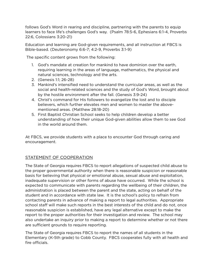follows God's Word in rearing and discipline, partnering with the parents to equip learners to face life's challenges God's way. (Psalm 78:5-6, Ephesians 6:1-4, Proverbs 22:6, Colossians 3:20-21)

Education and learning are God-given requirements, and all instruction at FBCS is Bible-based. (Deuteronomy 6:6-7; 4:2-9, Proverbs 3:1-9)

The specific content grows from the following:

- 1. God's mandate at creation for mankind to have dominion over the earth, requiring learning in the areas of language, mathematics, the physical and natural sciences, technology and the arts.
- 2. (Genesis 1:1; 26-28)
- 3. Mankind's intensified need to understand the curricular areas, as well as the social and health-related sciences and the study of God's Word, brought about by the hostile environment after the fall. (Genesis 3:9-24)
- 4. Christ's command for His followers to evangelize the lost and to disciple believers, which further elevates men and women to master the abovementioned areas. (Matthew 28:18-20)
- 5. First Baptist Christian School seeks to help children develop a better understanding of how their unique God-given abilities allow them to see God in the world around them.

At FBCS, we provide students with a place to encounter God through caring and encouragement.

#### STATEMENT OF COOPERATION

The State of Georgia requires FBCS to report allegations of suspected child abuse to the proper governmental authority when there is reasonable suspicion or reasonable basis for believing that physical or emotional abuse, sexual abuse and exploitation, inadequate supervision or other forms of abuse have occurred. While the school is expected to communicate with parents regarding the wellbeing of their children, the administration is placed between the parent and the state, acting on behalf of the student and in accordance with state law. It is the school's policy to refrain from contacting parents in advance of making a report to legal authorities. Appropriate school staff will make such reports in the best interests of the child and do not, once reasonable suspicion is established, have any legal alternative except to make the report to the proper authorities for their investigation and review. The school may also undertake an inquiry prior to making a report to determine whether or not there are sufficient grounds to require reporting.

The State of Georgia requires FBCS to report the names of all students in the Elementary (K-5th grade) to Cobb County. FBCS cooperates fully with all health and fire officials.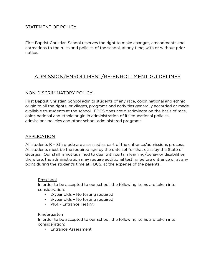#### STATEMENT OF POLICY

First Baptist Christian School reserves the right to make changes, amendments and corrections to the rules and policies of the school, at any time, with or without prior notice.

# ADMISSION/ENROLLMENT/RE-ENROLLMENT GUIDELINES

#### NON-DISCRIMINATORY POLICY

First Baptist Christian School admits students of any race, color, national and ethnic origin to all the rights, privileges, programs and activities generally accorded or made available to students at the school. FBCS does not discriminate on the basis of race, color, national and ethnic origin in administration of its educational policies, admissions policies and other school-administered programs.

#### APPLICATION

All students K – 8th grade are assessed as part of the entrance/admissions process. All students must be the required age by the date set for that class by the State of Georgia. Our staff is not qualified to deal with certain learning/behavior disabilities; therefore, the administration may require additional testing before entrance or at any point during the student's time at FBCS, at the expense of the parents.

#### Preschool

In order to be accepted to our school, the following items are taken into consideration:

- 2-year olds No testing required
- 3-year olds No testing required
- PK4 Entrance Testing

#### Kindergarten

In order to be accepted to our school, the following items are taken into consideration:

• Entrance Assessment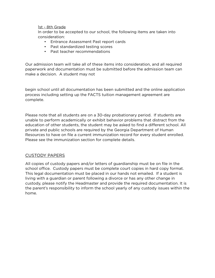#### 1st - 8th Grade

In order to be accepted to our school, the following items are taken into consideration:

- Entrance Assessment Past report cards
- Past standardized testing scores
- Past teacher recommendations

Our admission team will take all of these items into consideration, and all required paperwork and documentation must be submitted before the admission team can make a decision. A student may not

begin school until all documentation has been submitted and the online application process including setting up the FACTS tuition management agreement are complete.

Please note that all students are on a 30-day probationary period. If students are unable to perform academically or exhibit behavior problems that distract from the education of other students, the student may be asked to find a diferent school. All private and public schools are required by the Georgia Department of Human Resources to have on file a current immunization record for every student enrolled. Please see the immunization section for complete details.

#### CUSTODY PAPERS

All copies of custody papers and/or letters of guardianship must be on file in the school office. Custody papers must be complete court copies in hard copy format. This legal documentation must be placed in our hands not emailed. If a student is living with a guardian or parent following a divorce or has any other change in custody, please notify the Headmaster and provide the required documentation. It is the parent's responsibility to inform the school yearly of any custody issues within the home.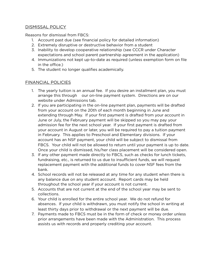#### DISMISSAL POLICY

Reasons for dismissal from FBCS:

- 1. Account past due (see financial policy for detailed information)
- 2. Extremely disruptive or destructive behavior from a student
- 3. Inability to develop cooperative relationship (see CCCR under Character expectations and school parent partnership agreement in the application)
- 4. Immunizations not kept up-to-date as required (unless exemption form on file in the office.)
- 5. The student no longer qualifies academically.

#### FINANCIAL POLICIES

- 1. The yearly tuition is an annual fee. If you desire an installment plan, you must arrange this through our on-line payment system. Directions are on our website under Admissions tab.
- 2. If you are participating in the on-line payment plan, payments will be drafted from your account on the 20th of each month beginning in June and extending through May. If your first payment is drafted from your account in June or July, the February payment will be skipped so you may pay your admission fee for the next school year. If your first payment is drafted from your account in August or later, you will be required to pay a tuition payment in February. This applies to Preschool and Elementary divisions. If your account has an NSF payment, your child will be subject to dismissal from FBCS. Your child will not be allowed to return until your payment is up to date. Once your child is dismissed, his/her class placement will be considered open.
- 3. If any other payment made directly to FBCS, such as checks for lunch tickets, fundraising, etc., is returned to us due to insufficient funds, we will request replacement payment with the additional funds to cover NSF fees from the bank.
- 4. School records will not be released at any time for any student when there is any balance due on any student account. Report cards may be held throughout the school year if your account is not current.
- 5. Accounts that are not current at the end of the school year may be sent to collections.
- 6. Your child is enrolled for the entire school year. We do not refund for absences. If your child is withdrawn, you must notify the school in writing at least thirty days prior to withdrawal or the next payment will be due.
- 7. Payments made to FBCS must be in the form of check or money order unless prior arrangements have been made with the Administration. This process assists us with records and properly crediting your account.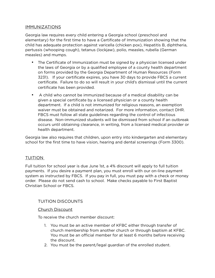#### **IMMUNIZATIONS**

Georgia law requires every child entering a Georgia school (preschool and elementary) for the first time to have a Certificate of Immunization showing that the child has adequate protection against varicella (chicken pox), Hepatitis B, diphtheria, pertussis (whooping cough), tetanus (lockjaw), polio, measles, rubella (German measles) and mumps.

- The Certificate of Immunization must be signed by a physician licensed under the laws of Georgia or by a qualified employee of a county health department on forms provided by the Georgia Department of Human Resources (Form 3231). If your certificate expires, you have 30 days to provide FBCS a current certificate. Failure to do so will result in your child's dismissal until the current certificate has been provided.
- A child who cannot be immunized because of a medical disability can be given a special certificate by a licensed physician or a county health department. If a child is not immunized for religious reasons, an exemption waiver must be obtained and notarized. For more information, contact DHR. FBCS must follow all state guidelines regarding the control of infectious disease. Non-immunized students will be dismissed from school if an outbreak occurs until obtaining clearance, in writing, from a licensed medical provider or health department.

Georgia law also requires that children, upon entry into kindergarten and elementary school for the first time to have vision, hearing and dental screenings (Form 3300).

#### TUITION

Full tuition for school year is due June 1st, a 4% discount will apply to full tuition payments. If you desire a payment plan, you must enroll with our on-line payment system as instructed by FBCS. If you pay in full, you must pay with a check or money order. Please do not send cash to school. Make checks payable to First Baptist Christian School or FBCS.

#### TUITION DISCOUNTS

#### Church Discount

To receive the church member discount:

- 1. You must be an active member of KFBC either through transfer of church membership from another church or through baptism at KFBC. You must be an official member for at least 6 months before receiving the discount.
- 2. You must be the parent/legal guardian of the enrolled student.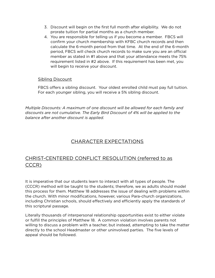- 3. Discount will begin on the first full month after eligibility. We do not prorate tuition for partial months as a church member.
- 4. You are responsible for telling us if you become a member. FBCS will confirm your church membership with KFBC church records and then calculate the 6-month period from that time. At the end of the 6-month period, FBCS will check church records to make sure you are an official member as stated in #1 above and that your attendance meets the 75% requirement listed in #2 above. If this requirement has been met, you will begin to receive your discount.

#### Sibling Discount

FBCS offers a sibling discount. Your oldest enrolled child must pay full tuition. For each younger sibling, you will receive a 5% sibling discount.

*Multiple Discounts: A maximum of one discount will be allowed for each family and discounts are not cumulative. The Early Bird Discount of 4% will be applied to the balance after another discount is applied.*

# CHARACTER EXPECTATIONS

# CHRIST-CENTERED CONFLICT RESOLUTION (referred to as CCCR)

It is imperative that our students learn to interact with all types of people. The (CCCR) method will be taught to the students; therefore, we as adults should model this process for them. Matthew 18 addresses the issue of dealing with problems within the church. With minor modifications, however, various Para-church organizations, including Christian schools, should effectively and efficiently apply the standards of this scriptural passage.

Literally thousands of interpersonal relationship opportunities exist to either violate or fulfill the principles of Matthew 18. A common violation involves parents not willing to discuss a problem with a teacher, but instead, attempting to take the matter directly to the school Headmaster or other uninvolved parties. The five levels of appeal should be followed.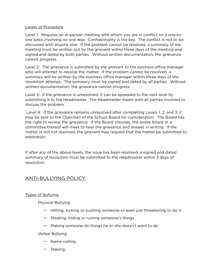#### Levels of Procedure

Level 1: Requires an in-person meeting with whom you are in conflict on a one-toone basis involving no one else. Confidentiality is the key. The conflict is not to be discussed with anyone else. If the problem cannot be resolved, a summary of the meeting must be written out by the grievant within three days of the meeting and signed and dated by both parties. Without written documentation, the grievance cannot progress.

Level 2: The grievance is submitted by the grievant to the business office manager who will attempt to resolve the matter. If the problem cannot be resolved, a summary will be written by the business office manager within three days of the resolution attempt. The summary must be signed and dated by all parties. Without written documentation, the grievance cannot progress.

Level 3: If the grievance is unresolved, it can be appealed to the next level by submitting it to the Headmaster. The Headmaster meets with all parties involved to discuss the problem.

 Level 4: If the grievance remains unresolved after completing Levels 1, 2, and 3, it may be sent to the Chairman of the School Board for consideration. The Board has the right to review the grievance. If the Board chooses, the entire board or a committee thereof will meet to hear the grievance and answer in writing. If the matter is still not resolved, the grievant may request that the matter be submitted to arbitration.

If after any of the above levels, the issue has been resolved, a signed and dated summary of resolution must be submitted to the Headmaster within 3 days of resolution.

# ANTI-BULLYING POLICY

Types of Bullying:

Physical Bullying

- Hitting, kicking or pushing someone or even just threatening to do it
- Stealing, hiding or ruining someone's things
- Making someone do things he or she doesn't want to do

Verbal Bullying

- Name-calling
- Teasing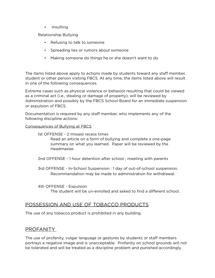• Insulting

Relationship Bullying

- Refusing to talk to someone
- Spreading lies or rumors about someone
- Making someone do things he or she doesn't want to do

The items listed above apply to actions made by students toward any staff member, student or other person visiting FBCS. At any time, the items listed above will result in one of the following consequences.

Extreme cases such as physical violence or behavior resulting that could be viewed as a criminal act (i.e., stealing or damage of property), will be reviewed by Administration and possibly by the FBCS School Board for an immediate suspension or expulsion of FBCS.

Documentation is required by any staff member, who implements any of the following discipline actions:

#### Consequences of Bullying at FBCS

#### 1st OFFENSE - 2 missed recess times Read an article on a form of bullying and complete a one-page summary on what you learned. Paper will be reviewed by the Headmaster.

2nd OFFENSE - 1 hour detention after school ; meeting with parents

3rd OFFENSE - In-School Suspension : 1 day of out-of-school suspension. Recommendation may be made to administration for withdrawal.

4th OFFENSE - Expulsion

The student will be un-enrolled and asked to find a diferent school.

# POSSESSION AND USE OF TOBACCO PRODUCTS

The use of any tobacco product is prohibited in any building.

# PROFANITY

The use of profanity, vulgar language or gestures by students or staff members portrays a negative image and is unacceptable. Profanity on school grounds will not be tolerated and will be treated as a discipline problem and punished accordingly.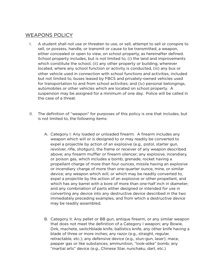# WEAPONS POLICY

- I. A student shall not use or threaten to use, or sell, attempt to sell or conspire to sell, or possess, handle, or transmit or cause to be transmitted, a weapon, either concealed or open to view, on school property, as hereinafter defined. School property includes, but is not limited to, (i) the land and improvements which constitute the school, (ii) any other property or building, wherever located, where any school function or activity is conducted, (iii) any bus or other vehicle used in connection with school functions and activities, included but not limited to, buses leased by FBCS and privately-owned vehicles used for transportation to and from school activities; and (iv) personal belongings, automobiles or other vehicles which are located on school property. A suspension may be assigned for a minimum of one day. Police will be called in the case of a threat.
- II. The definition of "weapon" for purposes of this policy is one that includes, but is not limited to, the following items:
	- A. Category I: Any loaded or unloaded firearm. A firearm includes any weapon which will or is designed to or may readily be converted to expel a projectile by action of an explosive (e.g., pistol, starter gun, revolver, rifle, shotgun); the frame or receiver of any weapon described above; any firearm muffler or firearm silencer; any explosive, incendiary, or poison gas, which includes a bomb, grenade, rocket having a propellant charge of more than four ounces, missile having an explosive or incendiary charge of more than one-quarter ounce, mine, or similar device; any weapon which will, or which may be readily converted to, expel a projectile by the action of an explosive or other propellant, and which has any barrel with a bore of more than one-half inch in diameter; and any combination of parts either designed or intended for use in converting any device into any destructive device described in the two immediately preceding examples, and from which a destructive device may be readily assembled.
	- B. Category II: Any pellet or BB gun, antique firearm, or any similar weapon that does not meet the definition of a Category I weapon; any Bowie, Dirk, machete, switchblade knife, ballistics knife, any other knife having a blade of three or more inches; any razor (e.g., straight, regular, retractable, etc.); any defensive device (e.g., stun-gun, laser); mace, pepper gas or like substances; ammunition, "look-alike" bomb; any "martial arts" device (e.g., Chinese Star, nunchaku, dart, etc.)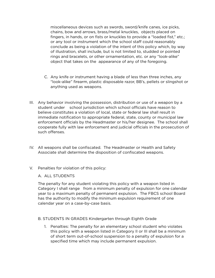miscellaneous devices such as swords, sword/knife canes, ice picks, chains, bow and arrows, brass/metal knuckles, objects placed on fingers, in hands, or on fists or knuckles to provide a "loaded fist," etc.; or any tool or instrument which the school staff could reasonably conclude as being a violation of the intent of this policy which, by way of illustration, shall include, but is not limited to, studded or pointed rings and bracelets, or other ornamentation, etc. or any "look-alike" object that takes on the appearance of any of the foregoing.

- C. Any knife or instrument having a blade of less than three inches, any "look-alike" firearm, plastic disposable razor, BB's, pellets or slingshot or anything used as weapons.
- III. Any behavior involving the possession, distribution or use of a weapon by a student under school jurisdiction which school officials have reason to believe constitutes a violation of local, state or federal law shall result in immediate notification to appropriate federal, state, county or municipal law enforcement officials by the Headmaster or his/her designee. The school shall cooperate fully with law enforcement and judicial officials in the prosecution of such offenses.
- IV. All weapons shall be confiscated. The Headmaster or Health and Safety Associate shall determine the disposition of confiscated weapons.
- V. Penalties for violation of this policy:

#### A. ALL STUDENTS

The penalty for any student violating this policy with a weapon listed in Category I shall range from a minimum penalty of expulsion for one calendar year to a maximum penalty of permanent expulsion. The FBCS school Board has the authority to modify the minimum expulsion requirement of one calendar year on a case-by-case basis.

#### B. STUDENTS IN GRADES Kindergarten through Eighth Grade

1. Penalties: The penalty for an elementary school student who violates this policy with a weapon listed in Category II or III shall be a minimum of short term out-of-school suspension to a penalty of expulsion for a specified time which may include permanent expulsion.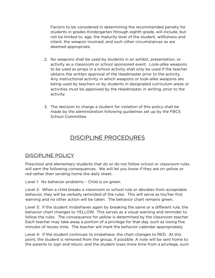Factors to be considered in determining the recommended penalty for students in grades Kindergarten through eighth grade, will include, but not be limited to, age, the maturity level of the student, willfulness and intent, the weapon involved, and such other circumstances as are deemed appropriate.

- 2. No weapons shall be used by students in an exhibit, presentation, or activity as a classroom or school sponsored event. Look-alike weapons to be used as props in a school activity shall only be used if the teacher obtains the written approval of the Headmaster prior to the activity. Any instructional activity in which weapons or look-alike weapons are being used by teachers or by students in designated curriculum areas or activities must be approved by the Headmaster, in writing, prior to the activity.
- 3. The decision to charge a student for violation of this policy shall be made by the administration following guidelines set up by the FBCS School Committee.

# DISCIPLINE PROCEDURES

# DISCIPLINE POLICY

Preschool and elementary students that do or do not follow school or classroom rules will earn the following consequences. We will let you know if they are on yellow or red rather than sending home the daily sheet.

Level 1: No behavior problems – Child is on green.

Level 2: When a child breaks a classroom or school rule or deviates from acceptable behavior, they will be verbally reminded of the rules. This will serve as his/her first warning and no other action will be taken. The behavior chart remains green.

Level 3: If the student misbehaves again by breaking the same or a diferent rule, the behavior chart changes to YELLOW. This serves as a visual warning and reminder to follow the rules. The consequence for yellow is determined by the classroom teacher. Each teacher may take away a portion of a privilege for that day, such as losing five minutes of recess time. The teacher will mark the behavior calendar appropriately.

Level 4: If the student continues to misbehave, the chart changes to RED. At this point, the student is removed from the group, if possible. A note will be sent home to the parents to sign and return, and the student loses more time from a privilege, such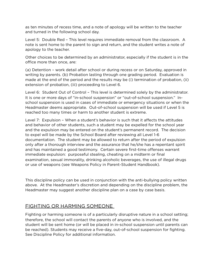as ten minutes of recess time, and a note of apology will be written to the teacher and turned in the following school day.

Level 5: Double Red – This level requires immediate removal from the classroom. A note is sent home to the parent to sign and return, and the student writes a note of apology to the teacher.

Other choices to be determined by an administrator, especially if the student is in the office more than once, are:

(a) Detention – work detail after school or during recess or on Saturday, approved in writing by parents. (b) Probation lasting through one grading period. Evaluation is made at the end of the period and the results may be (i) termination of probation, (ii) extension of probation, (iii) proceeding to Level 6.

Level 6: Student Out of Control – This level is determined solely by the administrator. It is one or more days of "in-school suspension" or "out-of-school suspension." Inschool suspension is used in cases of immediate or emergency situations or when the Headmaster deems appropriate. Out-of-school suspension will be used if Level 5 is reached too many times or harm to another student is extreme.

Level 7: Expulsion - When a student's behavior is such that it affects the attitudes and behavior of other students, such a student may be expelled for the school year and the expulsion may be entered on the student's permanent record. The decision to expel will be made by the School Board after reviewing all Level 1-6 documentation. The student may be allowed to return after the period of expulsion only after a thorough interview and the assurance that he/she has a repentant spirit and has maintained a good testimony. Certain severe first-time ofenses warrant immediate expulsion: purposeful stealing, cheating on a midterm or final examination, sexual immorality, drinking alcoholic beverages, the use of illegal drugs or use of weapons (see Weapons Policy in Parent-Student Handbook).

This discipline policy can be used in conjunction with the anti-bullying policy written above. At the Headmaster's discretion and depending on the discipline problem, the Headmaster may suggest another discipline plan on a case by case basis.

# FIGHTING OR HARMING SOMEONE

Fighting or harming someone is of a particularly disruptive nature in a school setting; therefore, the school will contact the parents of anyone who is involved, and the student will be sent home (or will be placed in in-school suspension until parents can be reached). Students may receive a five-day, out-of-school suspension for fighting. See Discipline Policy for additional information.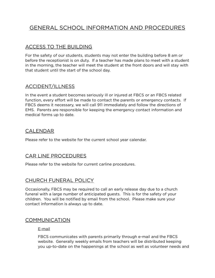# GENERAL SCHOOL INFORMATION AND PROCEDURES

# ACCESS TO THE BUILDING

For the safety of our students, students may not enter the building before 8 am or before the receptionist is on duty. If a teacher has made plans to meet with a student in the morning, the teacher will meet the student at the front doors and will stay with that student until the start of the school day.

# ACCIDENT/ILLNESS

In the event a student becomes seriously ill or injured at FBCS or an FBCS related function, every effort will be made to contact the parents or emergency contacts. If FBCS deems it necessary, we will call 911 immediately and follow the directions of EMS. Parents are responsible for keeping the emergency contact information and medical forms up to date.

## CALENDAR

Please refer to the website for the current school year calendar.

# CAR LINE PROCEDURES

Please refer to the website for current carline procedures.

# CHURCH FUNERAL POLICY

Occasionally, FBCS may be required to call an early release day due to a church funeral with a large number of anticipated guests. This is for the safety of your children. You will be notified by email from the school. Please make sure your contact information is always up to date.

#### **COMMUNICATION**

#### E-mail

FBCS communicates with parents primarily through e-mail and the FBCS website. Generally weekly emails from teachers will be distributed keeping you up-to-date on the happenings at the school as well as volunteer needs and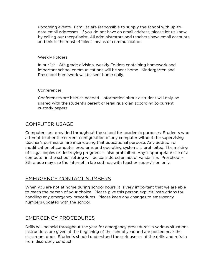upcoming events. Families are responsible to supply the school with up-todate email addresses. If you do not have an email address, please let us know by calling our receptionist. All administrators and teachers have email accounts and this is the most efficient means of communication.

#### Weekly Folders

In our 1st – 8th grade division, weekly Folders containing homework and important school communications will be sent home. Kindergarten and Preschool homework will be sent home daily.

#### Conferences

Conferences are held as needed. Information about a student will only be shared with the student's parent or legal guardian according to current custody papers.

# COMPUTER USAGE

Computers are provided throughout the school for academic purposes. Students who attempt to alter the current configuration of any computer without the supervising teacher's permission are interrupting that educational purpose. Any addition or modification of computer programs and operating systems is prohibited. The making of illegal copies or destroying programs is also prohibited. Any inappropriate use of a computer in the school setting will be considered an act of vandalism. Preschool - 8th grade may use the internet in lab settings with teacher supervision only.

# EMERGENCY CONTACT NUMBERS

When you are not at home during school hours, it is very important that we are able to reach the person of your choice. Please give this person explicit instructions for handling any emergency procedures. Please keep any changes to emergency numbers updated with the school.

# EMERGENCY PROCEDURES

Drills will be held throughout the year for emergency procedures in various situations. Instructions are given at the beginning of the school year and are posted near the classroom door. Students should understand the seriousness of the drills and refrain from disorderly conduct.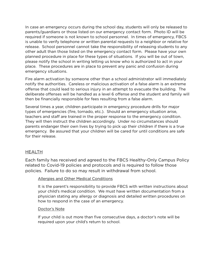In case an emergency occurs during the school day, students will only be released to parents/guardians or those listed on our emergency contact form. Photo ID will be required if someone is not known to school personnel. In times of emergency, FBCS is unable to verify telephone or written parental requests to a neighbor or relative for release. School personnel cannot take the responsibility of releasing students to any other adult than those listed on the emergency contact form. Please have your own planned procedure in place for these types of situations. If you will be out of town, please notify the school in writing letting us know who is authorized to act in your place. These procedures are in place to prevent any panic and confusion during emergency situations.

Fire alarm activation by someone other than a school administrator will immediately notify the authorities. Careless or malicious activation of a false alarm is an extreme ofense that could lead to serious injury in an attempt to evacuate the building. The deliberate ofenses will be handled as a level 6 ofense and the student and family will then be financially responsible for fees resulting from a false alarm.

Several times a year, children participate in emergency procedure drills for major types of emergencies (fire, tornado, etc.). Should an emergency situation arise, teachers and staff are trained in the proper response to the emergency condition. They will then instruct the children accordingly. Under no circumstances should parents endanger their own lives by trying to pick up their children if there is a true emergency. Be assured that your children will be cared for until conditions are safe for their release.

#### **HEALTH**

Each family has received and agreed to the FBCS Healthy-Only Campus Policy related to Covid-19 policies and protocols and is required to follow those policies. Failure to do so may result in withdrawal from school.

#### Allergies and Other Medical Conditions

It is the parent's responsibility to provide FBCS with written instructions about your child's medical condition. We must have written documentation from a physician stating any allergy or diagnosis and detailed written procedures on how to respond in the case of an emergency.

#### Doctor's Note

If your child is out more than five consecutive days, a doctor's note will be required upon your child's return to school.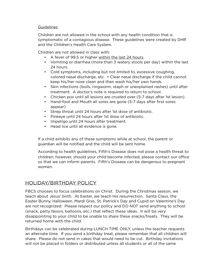#### **Guidelines**

Children are not allowed in the school with any health condition that is symptomatic of a contagious disease. These guidelines were created by DHR and the Children's Health Care System.

Children are not allowed in class with:

- A fever of 99.5 or higher within the last 24 hours.
- Vomiting or diarrhea (more than 3 watery stools per day) within the last 24 hours.
- Cold symptoms, including but not limited to, excessive coughing, colored nasal discharge, etc. • Clear nasal discharge if the child cannot keep his/her nose clean and then wash his/her own hands.
- Skin infections (boils, ringworm, staph or unexplained rashes) until after treatment. A doctor's note is required to return to school.
- Chicken pox until all lesions are crusted over (5-7 days after 1st lesion).
- Hand-foot and Mouth all sores are gone (5-7 days after first sores appear)
- Strep throat until 24 hours after 1st dose of antibiotic.
- Pinkeye until 24 hours after 1st dose of antibiotic.
- Impetigo until 24 hours after treatment.
- Head lice until all evidence is gone.

If a child exhibits any of these symptoms while at school, the parent or guardian will be notified and the child will be sent home.

According to health guidelines, Fifth's Disease does not pose a health threat to children; however, should your child become infected, please contact our office so that we can inform parents. Fifth's Disease can be dangerous to pregnant women.

# HOLIDAY/BIRTHDAY POLICY

FBCS chooses to focus celebrations on Christ. During the Christmas season, we teach about Jesus' birth. At Easter, we teach His resurrection. Santa Claus, the Easter Bunny, Halloween, Mardi Gras, St. Patrick's Day and Cupid on Valentine's Day are not recognized. Please respect our policy and DO NOT send anything to school (snack, party favors, balloons, etc.) that reflect these ideas. It will be very disappointing to your child to be unable to share these snacks/treats. They will be returned home with the child.

Birthdays can be celebrated during LUNCH TIME ONLY, unless the teacher requests an alternate time. If you send a birthday treat, please remember that all children will share. Please do not send in cakes that would need to be cut. Birthday invitations will not be placed in folders or distributed unless all students or all of the same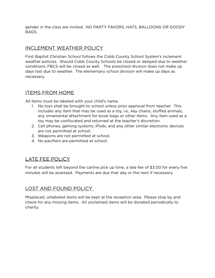gender in the class are invited. NO PARTY FAVORS, HATS, BALLOONS OR GOODY BAGS.

# INCLEMENT WEATHER POLICY

First Baptist Christian School follows the Cobb County School System's inclement weather policies. Should Cobb County Schools be closed or delayed due to weather conditions, FBCS will be closed as well. The preschool division does not make up days lost due to weather. The elementary school division will make up days as necessary.

## ITEMS FROM HOME

All items must be labeled with your child's name.

- 1. No toys shall be brought to school unless prior approval from teacher. This includes any item that may be used as a toy, i.e., key chains, stufed animals, any ornamental attachment for book bags or other items. Any item used as a toy may be confiscated and returned at the teacher's discretion.
- 2. Cell phones, gaming systems, iPods, and any other similar electronic devices are not permitted at school.
- 3. Weapons are not permitted at school.
- 4. No pacifiers are permitted at school.

# LATE FEE POLICY

For all students left beyond the carline pick up time, a late fee of \$3.00 for every five minutes will be assessed. Payments are due that day or the next if necessary.

# LOST AND FOUND POLICY

Misplaced, unlabeled items will be kept at the reception area. Please stop by and check for any missing items. All unclaimed items will be donated periodically to charity.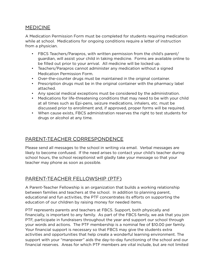# **MEDICINE**

A Medication Permission Form must be completed for students requiring medication while at school. Medications for ongoing conditions require a letter of instruction from a physician.

- FBCS Teachers/Parapros, with written permission from the child's parent/ guardian, will assist your child in taking medicine. Forms are available online to be filled out prior to your arrival. All medicine will be locked up.
- Teachers/Parapros cannot administer any medication without a signed Medication Permission Form.
- Over-the-counter drugs must be maintained in the original container.
- Prescription drugs must be in the original container with the pharmacy label attached.
- Any special medical exceptions must be considered by the administration.
- Medications for life-threatening conditions that may need to be with your child at all times such as Epi-pens, seizure medications, inhalers, etc. must be discussed prior to enrollment and, if approved, proper forms will be required.
- When cause exists, FBCS administration reserves the right to test students for drugs or alcohol at any time.

# PARENT-TEACHER CORRESPONDENCE

Please send all messages to the school in writing via email. Verbal messages are likely to become confused. If the need arises to contact your child's teacher during school hours, the school receptionist will gladly take your message so that your teacher may phone as soon as possible.

# PARENT-TEACHER FELLOWSHIP (PTF)

A Parent-Teacher Fellowship is an organization that builds a working relationship between families and teachers at the school. In addition to planning parent, educational and fun activities, the PTF concentrates its eforts on supporting the education of our children by raising money for needed items.

PTF represents parents and teachers at FBCS. Support, both physically and financially, is important to any family. As part of the FBCS family, we ask that you join PTF, participate in fundraisers throughout the year and support our school through your words and actions. The PTF membership is a nominal fee of \$10.00 per family. Your financial support is necessary so that FBCS may give the students extra activities and opportunities that help create a wonderful learning environment. The support with your "manpower" aids the day-to-day functioning of the school and our financial reserves. Areas for which PTF members are vital include, but are not limited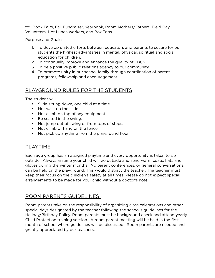to: Book Fairs, Fall Fundraiser, Yearbook, Room Mothers/Fathers, Field Day Volunteers, Hot Lunch workers, and Box Tops.

Purpose and Goals:

- 1. To develop united eforts between educators and parents to secure for our students the highest advantages in mental, physical, spiritual and social education for children.
- 2. To continually improve and enhance the quality of FBCS.
- 3. To be a positive public relations agency to our community.
- 4. To promote unity in our school family through coordination of parent programs, fellowship and encouragement.

# PLAYGROUND RULES FOR THE STUDENTS

The student will:

- Slide sitting down, one child at a time.
- Not walk up the slide.
- Not climb on top of any equipment.
- Be seated in the swing.
- Not jump out of swing or from tops of steps.
- Not climb or hang on the fence.
- Not pick up anything from the playground floor.

# PLAYTIME

Each age group has an assigned playtime and every opportunity is taken to go outside. Always assume your child will go outside and send warm coats, hats and gloves during the winter months. No parent conferences, or general conversations, can be held on the playground. This would distract the teacher. The teacher must keep their focus on the children's safety at all times. Please do not expect special arrangements to be made for your child without a doctor's note.

# ROOM PARENTS GUIDELINES

Room parents take on the responsibility of organizing class celebrations and other special days designated by the teacher following the school's guidelines for the Holiday/Birthday Policy. Room parents must be background check and attend yearly Child Protection training session. A room parent meeting will be held in the first month of school where guidelines will be discussed. Room parents are needed and greatly appreciated by our teachers.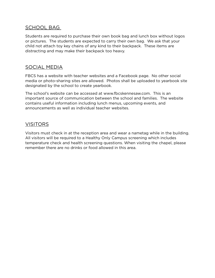# SCHOOL BAG

Students are required to purchase their own book bag and lunch box without logos or pictures. The students are expected to carry their own bag. We ask that your child not attach toy key chains of any kind to their backpack. These items are distracting and may make their backpack too heavy.

# SOCIAL MEDIA

FBCS has a website with teacher websites and a Facebook page. No other social media or photo-sharing sites are allowed. Photos shall be uploaded to yearbook site designated by the school to create yearbook.

The school's website can be accessed at www.fbcskennesaw.com. This is an important source of communication between the school and families. The website contains useful information including lunch menus, upcoming events, and announcements as well as individual teacher websites.

# VISITORS

Visitors must check in at the reception area and wear a nametag while in the building. All visitors will be required to a Healthy Only Campus screening which includes temperature check and health screening questions. When visiting the chapel, please remember there are no drinks or food allowed in this area.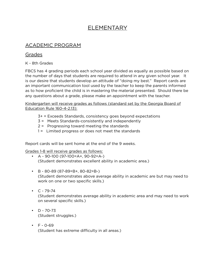# ELEMENTARY

# ACADEMIC PROGRAM

# Grades

K - 8th Grades

FBCS has 4 grading periods each school year divided as equally as possible based on the number of days that students are required to attend in any given school year. It is our desire that students develop an attitude of "doing my best." Report cards are an important communication tool used by the teacher to keep the parents informed as to how proficient the child is in mastering the material presented. Should there be any questions about a grade, please make an appointment with the teacher.

Kindergarten will receive grades as follows (standard set by the Georgia Board of Education Rule 160-4-2.13):

- 3+ = Exceeds Standards, consistency goes beyond expectations
- 3 = Meets Standards-consistently and independently
- 2 = Progressing toward meeting the standards
- 1 = Limited progress or does not meet the standards

Report cards will be sent home at the end of the 9 weeks.

Grades 1-8 will receive grades as follows:

- $\bullet$  A 90-100 (97-100=A+, 90-92=A-) (Student demonstrates excellent ability in academic area.)
- B 80-89 (87-89=B+, 80-82=B-) (Student demonstrates above average ability in academic are but may need to work on one or two specific skills.)
- $C 79 74$ (Student demonstrates average ability in academic area and may need to work on several specific skills.)
- $D 70-73$ (Student struggles.)
- $\cdot$  F 0-69 (Student has extreme difficulty in all areas.)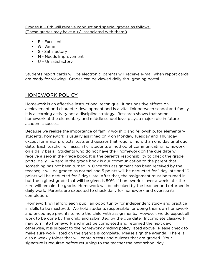#### Grades K – 8th will receive conduct and special grades as follows: (These grades may have  $a +/-$  associated with them.)

- E Excellent
- G Good
- S Satisfactory
- N Needs Improvement
- U Unsatisfactory

Students report cards will be electronic, parents will receive e-mail when report cards are ready for viewing. Grades can be viewed daily thru grading portal.

# HOMEWORK POLICY

Homework is an effective instructional technique. It has positive effects on achievement and character development and is a vital link between school and family. It is a learning activity not a discipline strategy. Research shows that some homework at the elementary and middle school level plays a major role in future academic success.

Because we realize the importance of family worship and fellowship, for elementary students, homework is usually assigned only on Monday, Tuesday and Thursday, except for major projects, tests and quizzes that require more than one day until due date. Each teacher will assign her students a method of communicating homework on a daily basis. Students who do not have their homework on the due date will receive a zero in the grade book. It is the parent's responsibility to check the grade portal daily. A zero in the grade book is our communication to the parent that something has not been turned in. Once this assignment has been received by the teacher, it will be graded as normal and 5 points will be deducted for 1 day late and 10 points will be deducted for 2 days late. After that, the assignment must be turned in, but the highest grade that will be given is 50%. If homework is over a week late, the zero will remain the grade. Homework will be checked by the teacher and returned in daily work. Parents are expected to check daily for homework and oversee its completion.

Homework will afford each pupil an opportunity for independent study and practice in skills to be mastered. We hold students responsible for doing their own homework and encourage parents to help the child with assignments. However, we do expect all work to be done by the child and submitted by the due date. Incomplete classwork may turn into homework and must be completed and returned the next day; otherwise, it is subject to the homework grading policy listed above. Please check to make sure work listed on the agenda is complete. Please sign the agenda. There is also a weekly folder that will contain tests and quizzes that are graded. Your signature is required before returning to the teacher the next school day.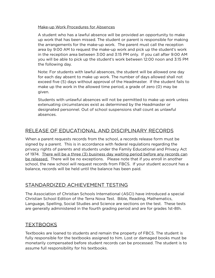#### Make-up Work Procedures for Absences

A student who has a lawful absence will be provided an opportunity to make up work that has been missed. The student or parent is responsible for making the arrangements for the make-up work. The parent must call the reception area by 9:00 AM to request the make-up work and pick up the student's work in the reception area between 3:00 and 3:15 PM only. If you call after 9:00 AM you will be able to pick up the student's work between 12:00 noon and 3:15 PM the following day.

Note: For students with lawful absences, the student will be allowed one day for each day absent to make up work. The number of days allowed shall not exceed five (5) days without approval of the Headmaster. If the student fails to make up the work in the allowed time period, a grade of zero (0) may be given.

Students with unlawful absences will not be permitted to make up work unless extenuating circumstances exist as determined by the Headmaster or designated personnel. Out of school suspensions shall count as unlawful absences.

# RELEASE OF EDUCATIONAL AND DISCIPLINARY RECORDS

When a parent requests records from the school, a records release form must be signed by a parent. This is in accordance with federal regulations regarding the privacy rights of parents and students under the Family Educational and Privacy Act of 1974. There will be a three (3) business day waiting period before any records can be released. There will be no exceptions. Please note that if you enroll in another school, the new school will request records from FBCS. If your student account has a balance, records will be held until the balance has been paid.

# STANDARDIZED ACHIEVEMENT TESTING

The Association of Christian Schools International (ASCI) have introduced a special Christian School Edition of the Terra Nova Test. Bible, Reading, Mathematics, Language, Spelling, Social Studies and Science are sections on the test. These tests are generally administered in the fourth grading period and are for grades 1st-8th.

# TEXTBOOKS

Textbooks are loaned to students and remain the property of FBCS. The student is fully responsible for the textbooks assigned to him. Lost or damaged books must be monetarily compensated before student records can be processed. The student is to assume full responsibility for his textbooks.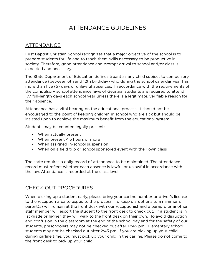# ATTENDANCE GUIDELINES

# ATTENDANCE

First Baptist Christian School recognizes that a major objective of the school is to prepare students for life and to teach them skills necessary to be productive in society. Therefore, good attendance and prompt arrival to school and/or class is expected and necessary.

The State Department of Education defines truant as any child subject to compulsory attendance (between 6th and 12th birthday) who during the school calendar year has more than five (5) days of unlawful absences. In accordance with the requirements of the compulsory school attendance laws of Georgia, students are required to attend 177 full-length days each school year unless there is a legitimate, verifiable reason for their absence.

Attendance has a vital bearing on the educational process. It should not be encouraged to the point of keeping children in school who are sick but should be insisted upon to achieve the maximum benefit from the educational system.

Students may be counted legally present:

- When actually present
- When present 4.5 hours or more
- When assigned in-school suspension
- When on a field trip or school sponsored event with their own class

The state requires a daily record of attendance to be maintained. The attendance record must reflect whether each absence is lawful or unlawful in accordance with the law. Attendance is recorded at the class level.

# CHECK-OUT PROCEDURES

When picking up a student early, please bring your carline number or driver's license to the reception area to expedite the process. To keep disruptions to a minimum, parent(s) will remain at the front desk with our receptionist and a parapro or another staff member will escort the student to the front desk to check out. If a student is in 1st grade or higher, they will walk to the front desk on their own. To avoid disruption and confusion in the classroom at the end of the school day and for the safety of our students, preschoolers may not be checked out after 12:45 pm. Elementary school students may not be checked out after 2:45 pm. If you are picking up your child during carline time, you must pick up your child in the carline. Please do not come to the front desk to pick up your child.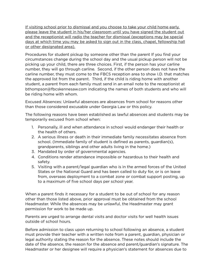If visiting school prior to dismissal and you choose to take your child home early. please leave the student in his/her classroom until you have signed the student out and the receptionist will radio the teacher for dismissal (exceptions may be special days at which time you may be asked to sign out in the class, chapel, fellowship hall or other designated area).

Procedures for student pickup by someone other than the parent If you find your circumstances change during the school day and the usual pickup person will not be picking up your child, there are three choices. First, if the person has your carline number, they will go through carline. Second, if the other person does not have the carline number, they must come to the FBCS reception area to show I.D. that matches the approved list from the parent. Third, if the child is riding home with another student, a parent from each family must send in an email note to the receptionist at bthompson@fbcskennesaw.com indicating the names of both students and who will be riding home with whom.

Excused Absences: Unlawful absences are absences from school for reasons other than those considered excusable under Georgia Law or this policy.

The following reasons have been established as lawful absences and students may be temporarily excused from school when:

- 1. Personally, ill and when attendance in school would endanger their health or the health of others.
- 2. A serious illness or death in their immediate family necessitates absence from school. (Immediate family of student is defined as parents, guardian(s), grandparents, siblings and other adults living in the home.)
- 3. Mandated by order of governmental agencies.
- 4. Conditions render attendance impossible or hazardous to their health and safety.
- 5. Visiting with a parent/legal guardian who is in the armed forces of the United States or the National Guard and has been called to duty for, or is on leave from, overseas deployment to a combat zone or combat support posting, up to a maximum of five school days per school year.

When a parent finds it necessary for a student to be out of school for any reason other than those listed above, prior approval must be obtained from the school Headmaster. While the absences may be unlawful, the Headmaster may grant permission for work to be made up.

Parents are urged to arrange dental visits and doctor visits for well health issues outside of school hours.

Before admission to class upon returning to school following an absence, a student must provide their teacher with a written note from a parent, guardian, physician or legal authority stating the reason for the absence. These notes should include the date of the absence, the reason for the absence and parent/guardian's signature. The Headmaster or her designee will require a physician's statement for absences due to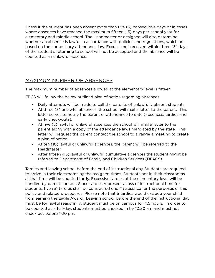illness if the student has been absent more than five (5) consecutive days or in cases where absences have reached the maximum fifteen (15) days per school year for elementary and middle school. The Headmaster or designee will also determine whether an absence is lawful in accordance with policies and regulations, which are based on the compulsory attendance law. Excuses not received within three (3) days of the student's returning to school will not be accepted and the absence will be counted as an unlawful absence.

# MAXIMUM NUMBER OF ABSENCES

The maximum number of absences allowed at the elementary level is fifteen.

FBCS will follow the below outlined plan of action regarding absences:

- Daily attempts will be made to call the parents of unlawfully absent students.
- At three (3) unlawful absences, the school will mail a letter to the parent. This letter serves to notify the parent of attendance to date (absences, tardies and early check-outs).
- At five (5) lawful or unlawful absences the school will mail a letter to the parent along with a copy of the attendance laws mandated by the state. This letter will request the parent contact the school to arrange a meeting to create a plan of action.
- At ten (10) lawful or unlawful absences, the parent will be referred to the Headmaster.
- After fifteen (15) lawful or unlawful cumulative absences the student might be referred to Department of Family and Children Services (DFACS).

Tardies and leaving school before the end of instructional day Students are required to arrive in their classrooms by the assigned times. Students not in their classrooms at that time will be counted tardy. Excessive tardies at the elementary level will be handled by parent contact. Since tardies represent a loss of instructional time for students, five (5) tardies shall be considered one (1) absence for the purposes of this policy and related procedures. Please note that 5 tardies would exclude your child from earning the Eagle Award. Leaving school before the end of the instructional day must be for lawful reasons. A student must be on campus for 4.5 hours. In order to be counted as a full-day, students must be checked in by 10:30 am and must not check out before 1:00 pm.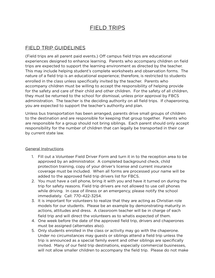# FIELD TRIPS

# FIELD TRIP GUIDELINES

(Field trips are all parent paid events.) Of campus field trips are educational experiences designed to enhance learning. Parents who accompany children on field trips are expected to support the learning environment as directed by the teacher. This may include helping student's complete worksheets and observation forms. The nature of a field trip is an educational experience; therefore, is restricted to students enrolled in the class unless specifically invited by the teacher. Parents who accompany children must be willing to accept the responsibility of helping provide for the safety and care of their child and other children. For the safety of all children, they must be returned to the school for dismissal, unless prior approval by FBCS administration. The teacher is the deciding authority on all field trips. If chaperoning, you are expected to support the teacher's authority and plan.

Unless bus transportation has been arranged, parents drive small groups of children to the destination and are responsible for keeping that group together. Parents who are responsible for a group should not bring siblings. Each parent should only accept responsibility for the number of children that can legally be transported in their car by current state law.

#### General Instructions

- 1. Fill out a Volunteer Field Driver Form and turn it in to the reception area to be approved by an administrator. A completed background check, child protection training, copy of your driver's license and current insurance coverage must be included. When all forms are processed your name will be added to the approved field trip drivers list for FBCS.
- 2. You must have a cell phone, bring it with you and have it turned on during the trip for safety reasons. Field trip drivers are not allowed to use cell phones while driving. In case of illness or an emergency, please notify the school immediately. Call: 770-422-3254.
- 3. It is important for volunteers to realize that they are acting as Christian role models for our students. Please be an example by demonstrating maturity in actions, attitudes and dress. A classroom teacher will be in charge of each field trip and will direct the volunteers as to whatis expected of them.
- 4. One week before the date of the approved field trip, drivers and chaperones must be assigned (alternates also).
- 5. Only students enrolled in the class or activity may go with the chaperone. Under no circumstances may guests or siblings attend a field trip unless the trip is announced as a special family event and other siblings are specifically invited. Many of our field trip destinations, especially commercial businesses, will not allow smaller children to accompany the field trip. Please do not make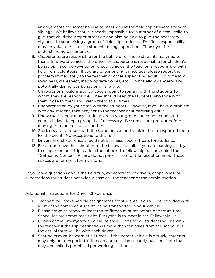arrangements for someone else to meet you at the field trip or event site with siblings. We believe that it is nearly impossible for a mother of a small child to give that child the proper attention and also be able to give the necessary vigilance to supervising a group of field trip students. The first responsibility of each volunteer is to the students being supervised. Thank you for understanding our priorities.

- 6. Chaperones are responsible for the behavior of those students assigned to them. In private vehicles, the driver or chaperone is responsible for children's behavior. In school-owned or rented vehicles, the teacher is responsible, with help from volunteers. If you are experiencing difficulties, please report the problem immediately to the teacher or other supervising adult. Do not allow rowdiness, disrespect, inappropriate voices, etc. Do not allow dangerous or potentially dangerous behavior on the trip.
- 7. Chaperones should make it a special point to remain with the students for whom they are responsible. They should keep the students who rode with them close to them and watch them at all times.
- 8. Chaperones enjoy your time with the students! However, if you have a problem with any student, take him/her to the teacher or supervising adult.
- 9. Know exactly how many students are in your group and count, count and count all day! Keep a group list if necessary. Be sure all are present before moving from one place to another.
- 10. Students are to return with the same person and vehicle that transported them for the event. No exceptions to this rule.
- 11. Drivers and chaperones should not purchase special treats for students.
- 12. Field trips leave the school from the fellowship hall. If you are parking all day to chaperone on a trip, park in the lot next to fellowship hall or behind the "Gathering Center". Please do not park in front of the reception area. These spaces are for short term visitors.

 If you have questions about the field trip, expectations of drivers, chaperones, or expectations for student behavior, please ask the teacher or the administration.

#### Additional Instructions for Driver Chaperones

- 1. Teachers will make vehicle assignments for students. You will be provided with a list of the names of students being transported in your vehicle.
- 2. Please arrive at school at least ten to fifteen minutes before departure time. Schedules are sometimes tight. Everyone is to meet in the Fellowship Hall.
- 3. Copies of the Emergency Medical Release Forms for all students will be with the teacher if the trip destination is more than ten miles from the school but the actual form will be with each driver.
- 4. Seat belts must be worn at all times. If the parent vehicle is a truck, students may only be transported in the cab and must be securely buckled. Note that only one child is permitted per working seat belt.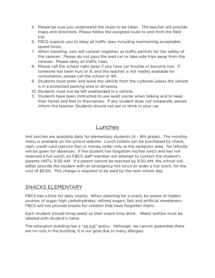- 5. Please be sure you understand the route to be taken. The teacher will provide maps and directions. Please follow the assigned route to and from the field trip.
- 6. FBCS expects you to obey all traffic laws including maintaining acceptable speed limits.
- 7. When traveling, cars will caravan together, as traffic permits for the safety of the caravan. Please do not pass the lead car or take side trips away from the caravan. Please obey all traffic rules.
- 8. Please call the school right away if you have car trouble or become lost. If someone has been hurt or ill, and the teacher is not readily available for consultation, please call the school or 911.
- 9. Students must enter and leave the vehicle from the curbside unless the vehicle is in a protected parking area or driveway.
- 10. Students must not be left unattended in a vehicle.
- 11. Students have been instructed to use quiet voices when talking and to keep their hands and feet to themselves. If any student does not cooperate, please inform the teacher. Students should not eat or drink in your car.

# Lunches

Hot lunches are available daily for elementary students (K - 8th grade). The monthly menu is available on the school website. Lunch tickets can be purchased by check, cash, credit card (service fee) or money order only at the reception area. No refunds will be given for absences. If the student has forgotten his/her lunch and has not reserved a hot lunch, an FBCS staff member will attempt to contact the student's parents UNTIL 9:30 AM. If a parent cannot be reached by 9:30 AM, the school will, either provide the student with an emergency hot lunch or order a hot lunch, for the cost of \$5.00. This charge is required to be paid by the next school day.

# SNACKS ELEMENTARY

FBCS has a time for daily snacks. When planning for a snack, be aware of hidden sources of sugar, high carbohydrates, refined sugars, fats and artificial sweeteners. FBCS will not provide snacks for children that have forgotten theirs.

Each student should bring water as their snack time drink. Water bottles must be labeled with student's name.

The education building has a "no nut" policy. Although, we cannot guarantee there are no nuts in the building, it is our goal due to many allergies.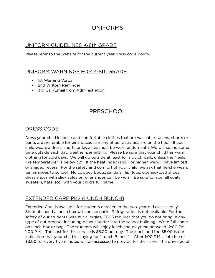# UNIFORMS

# UNIFORM GUIDELINES K-8th GRADE

Please refer to the website for the current year dress code policy.

# UNIFORM WARNINGS FOR K-8th GRADE

- 1st Warning Verbal
- 2nd Written Reminder
- 3rd Call/Email from Administration

# PRESCHOOL

# DRESS CODE

Dress your child in loose and comfortable clothes that are washable. Jeans, shorts or pants are preferable for girls because many of our activities are on the floor. If your child wears a dress, shorts or leggings must be worn underneath. We will spend some time outside each day, weather permitting. Please be sure that your child has warm clothing for cold days. We will go outside at least for a quick walk, unless the "feels like temperature" is below 32°. If the heat index is 90° or higher, we will have limited or shaded recess. For the safety and comfort of your child, we ask that he/she wears tennis shoes to school. No cowboy boots, sandals, flip flops, opened-toed shoes, dress shoes with slick soles or roller shoes can be worn. Be sure to label all coats, sweaters, hats, etc., with your child's full name.

# EXTENDED CARE PK2 (LUNCH BUNCH)

Extended Care is available for students enrolled in the two-year old classes only. Students need a lunch box with an ice pack. Refrigeration is not available. For the safety of our students with nut allergies, FBCS requires that you do not bring in any type of nut product including peanut butter into the school building. Write full name on lunch box or bag. The students will enjoy lunch and playtime between 12:00 PM - 1:00 P.M. The cost for this service is \$5.00 per day. The lunch and the \$5.00 is our indication that your child is staying for "Lunch Bunch." After 1:00 P.M. a late fee of \$3.00 for every five minutes will be assessed to provide for their care. The privilege of